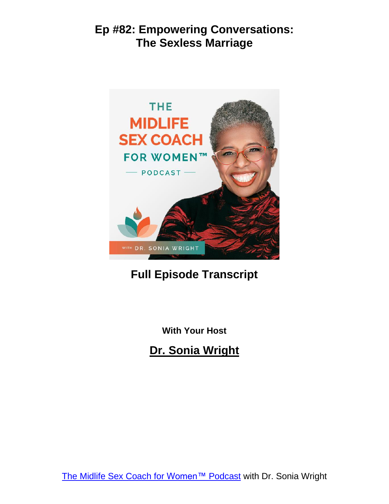

# **Full Episode Transcript**

**With Your Host**

**Dr. Sonia Wright**

The Midlife Sex Coach for [Women™](https://soniawrightmd.com/podcast) Podcast with Dr. Sonia Wright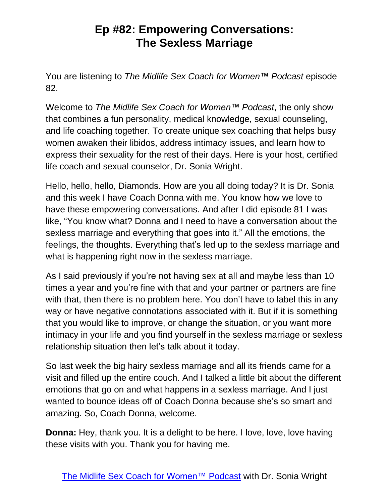You are listening to *The Midlife Sex Coach for Women™ Podcast* episode 82.

Welcome to *The Midlife Sex Coach for Women™ Podcast*, the only show that combines a fun personality, medical knowledge, sexual counseling, and life coaching together. To create unique sex coaching that helps busy women awaken their libidos, address intimacy issues, and learn how to express their sexuality for the rest of their days. Here is your host, certified life coach and sexual counselor, Dr. Sonia Wright.

Hello, hello, hello, Diamonds. How are you all doing today? It is Dr. Sonia and this week I have Coach Donna with me. You know how we love to have these empowering conversations. And after I did episode 81 I was like, "You know what? Donna and I need to have a conversation about the sexless marriage and everything that goes into it." All the emotions, the feelings, the thoughts. Everything that's led up to the sexless marriage and what is happening right now in the sexless marriage.

As I said previously if you're not having sex at all and maybe less than 10 times a year and you're fine with that and your partner or partners are fine with that, then there is no problem here. You don't have to label this in any way or have negative connotations associated with it. But if it is something that you would like to improve, or change the situation, or you want more intimacy in your life and you find yourself in the sexless marriage or sexless relationship situation then let's talk about it today.

So last week the big hairy sexless marriage and all its friends came for a visit and filled up the entire couch. And I talked a little bit about the different emotions that go on and what happens in a sexless marriage. And I just wanted to bounce ideas off of Coach Donna because she's so smart and amazing. So, Coach Donna, welcome.

**Donna:** Hey, thank you. It is a delight to be here. I love, love, love having these visits with you. Thank you for having me.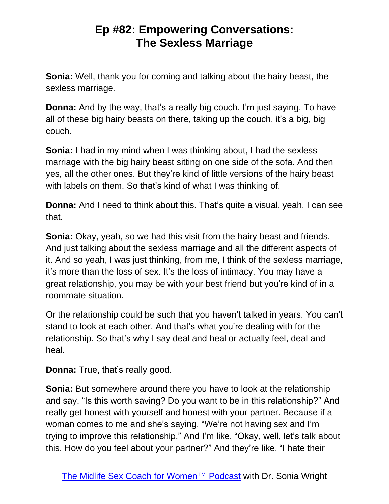**Sonia:** Well, thank you for coming and talking about the hairy beast, the sexless marriage.

**Donna:** And by the way, that's a really big couch. I'm just saying. To have all of these big hairy beasts on there, taking up the couch, it's a big, big couch.

**Sonia:** I had in my mind when I was thinking about, I had the sexless marriage with the big hairy beast sitting on one side of the sofa. And then yes, all the other ones. But they're kind of little versions of the hairy beast with labels on them. So that's kind of what I was thinking of.

**Donna:** And I need to think about this. That's quite a visual, yeah, I can see that.

**Sonia:** Okay, yeah, so we had this visit from the hairy beast and friends. And just talking about the sexless marriage and all the different aspects of it. And so yeah, I was just thinking, from me, I think of the sexless marriage, it's more than the loss of sex. It's the loss of intimacy. You may have a great relationship, you may be with your best friend but you're kind of in a roommate situation.

Or the relationship could be such that you haven't talked in years. You can't stand to look at each other. And that's what you're dealing with for the relationship. So that's why I say deal and heal or actually feel, deal and heal.

**Donna:** True, that's really good.

**Sonia:** But somewhere around there you have to look at the relationship and say, "Is this worth saving? Do you want to be in this relationship?" And really get honest with yourself and honest with your partner. Because if a woman comes to me and she's saying, "We're not having sex and I'm trying to improve this relationship." And I'm like, "Okay, well, let's talk about this. How do you feel about your partner?" And they're like, "I hate their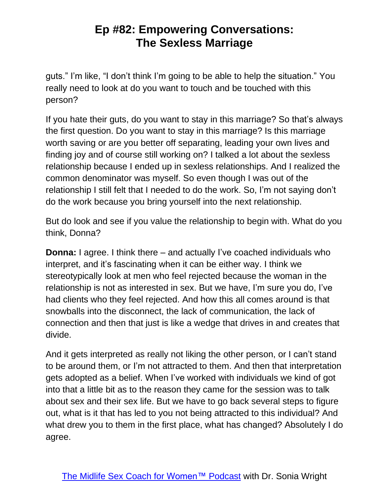guts." I'm like, "I don't think I'm going to be able to help the situation." You really need to look at do you want to touch and be touched with this person?

If you hate their guts, do you want to stay in this marriage? So that's always the first question. Do you want to stay in this marriage? Is this marriage worth saving or are you better off separating, leading your own lives and finding joy and of course still working on? I talked a lot about the sexless relationship because I ended up in sexless relationships. And I realized the common denominator was myself. So even though I was out of the relationship I still felt that I needed to do the work. So, I'm not saying don't do the work because you bring yourself into the next relationship.

But do look and see if you value the relationship to begin with. What do you think, Donna?

**Donna:** I agree. I think there – and actually I've coached individuals who interpret, and it's fascinating when it can be either way. I think we stereotypically look at men who feel rejected because the woman in the relationship is not as interested in sex. But we have, I'm sure you do, I've had clients who they feel rejected. And how this all comes around is that snowballs into the disconnect, the lack of communication, the lack of connection and then that just is like a wedge that drives in and creates that divide.

And it gets interpreted as really not liking the other person, or I can't stand to be around them, or I'm not attracted to them. And then that interpretation gets adopted as a belief. When I've worked with individuals we kind of got into that a little bit as to the reason they came for the session was to talk about sex and their sex life. But we have to go back several steps to figure out, what is it that has led to you not being attracted to this individual? And what drew you to them in the first place, what has changed? Absolutely I do agree.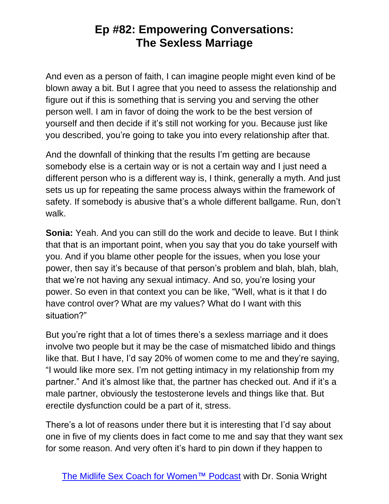And even as a person of faith, I can imagine people might even kind of be blown away a bit. But I agree that you need to assess the relationship and figure out if this is something that is serving you and serving the other person well. I am in favor of doing the work to be the best version of yourself and then decide if it's still not working for you. Because just like you described, you're going to take you into every relationship after that.

And the downfall of thinking that the results I'm getting are because somebody else is a certain way or is not a certain way and I just need a different person who is a different way is, I think, generally a myth. And just sets us up for repeating the same process always within the framework of safety. If somebody is abusive that's a whole different ballgame. Run, don't walk.

**Sonia:** Yeah. And you can still do the work and decide to leave. But I think that that is an important point, when you say that you do take yourself with you. And if you blame other people for the issues, when you lose your power, then say it's because of that person's problem and blah, blah, blah, that we're not having any sexual intimacy. And so, you're losing your power. So even in that context you can be like, "Well, what is it that I do have control over? What are my values? What do I want with this situation?"

But you're right that a lot of times there's a sexless marriage and it does involve two people but it may be the case of mismatched libido and things like that. But I have, I'd say 20% of women come to me and they're saying, "I would like more sex. I'm not getting intimacy in my relationship from my partner." And it's almost like that, the partner has checked out. And if it's a male partner, obviously the testosterone levels and things like that. But erectile dysfunction could be a part of it, stress.

There's a lot of reasons under there but it is interesting that I'd say about one in five of my clients does in fact come to me and say that they want sex for some reason. And very often it's hard to pin down if they happen to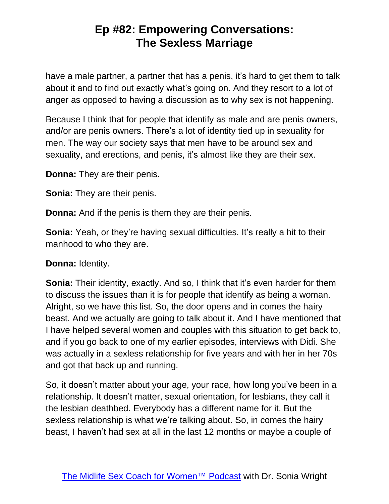have a male partner, a partner that has a penis, it's hard to get them to talk about it and to find out exactly what's going on. And they resort to a lot of anger as opposed to having a discussion as to why sex is not happening.

Because I think that for people that identify as male and are penis owners, and/or are penis owners. There's a lot of identity tied up in sexuality for men. The way our society says that men have to be around sex and sexuality, and erections, and penis, it's almost like they are their sex.

**Donna:** They are their penis.

**Sonia:** They are their penis.

**Donna:** And if the penis is them they are their penis.

**Sonia:** Yeah, or they're having sexual difficulties. It's really a hit to their manhood to who they are.

**Donna:** Identity.

**Sonia:** Their identity, exactly. And so, I think that it's even harder for them to discuss the issues than it is for people that identify as being a woman. Alright, so we have this list. So, the door opens and in comes the hairy beast. And we actually are going to talk about it. And I have mentioned that I have helped several women and couples with this situation to get back to, and if you go back to one of my earlier episodes, interviews with Didi. She was actually in a sexless relationship for five years and with her in her 70s and got that back up and running.

So, it doesn't matter about your age, your race, how long you've been in a relationship. It doesn't matter, sexual orientation, for lesbians, they call it the lesbian deathbed. Everybody has a different name for it. But the sexless relationship is what we're talking about. So, in comes the hairy beast, I haven't had sex at all in the last 12 months or maybe a couple of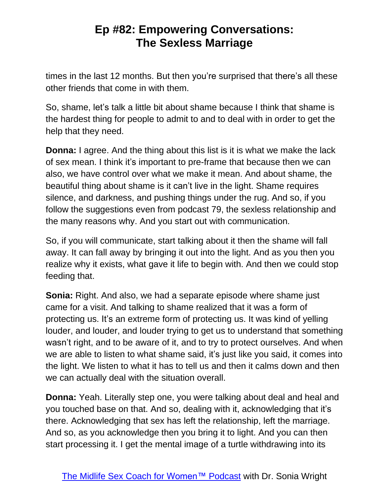times in the last 12 months. But then you're surprised that there's all these other friends that come in with them.

So, shame, let's talk a little bit about shame because I think that shame is the hardest thing for people to admit to and to deal with in order to get the help that they need.

**Donna:** I agree. And the thing about this list is it is what we make the lack of sex mean. I think it's important to pre-frame that because then we can also, we have control over what we make it mean. And about shame, the beautiful thing about shame is it can't live in the light. Shame requires silence, and darkness, and pushing things under the rug. And so, if you follow the suggestions even from podcast 79, the sexless relationship and the many reasons why. And you start out with communication.

So, if you will communicate, start talking about it then the shame will fall away. It can fall away by bringing it out into the light. And as you then you realize why it exists, what gave it life to begin with. And then we could stop feeding that.

**Sonia:** Right. And also, we had a separate episode where shame just came for a visit. And talking to shame realized that it was a form of protecting us. It's an extreme form of protecting us. It was kind of yelling louder, and louder, and louder trying to get us to understand that something wasn't right, and to be aware of it, and to try to protect ourselves. And when we are able to listen to what shame said, it's just like you said, it comes into the light. We listen to what it has to tell us and then it calms down and then we can actually deal with the situation overall.

**Donna:** Yeah. Literally step one, you were talking about deal and heal and you touched base on that. And so, dealing with it, acknowledging that it's there. Acknowledging that sex has left the relationship, left the marriage. And so, as you acknowledge then you bring it to light. And you can then start processing it. I get the mental image of a turtle withdrawing into its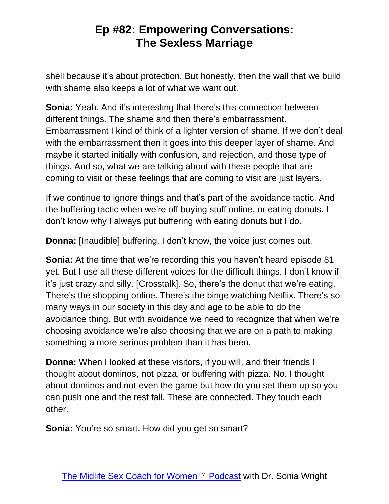shell because it's about protection. But honestly, then the wall that we build with shame also keeps a lot of what we want out.

**Sonia:** Yeah. And it's interesting that there's this connection between different things. The shame and then there's embarrassment. Embarrassment I kind of think of a lighter version of shame. If we don't deal with the embarrassment then it goes into this deeper layer of shame. And maybe it started initially with confusion, and rejection, and those type of things. And so, what we are talking about with these people that are coming to visit or these feelings that are coming to visit are just layers.

If we continue to ignore things and that's part of the avoidance tactic. And the buffering tactic when we're off buying stuff online, or eating donuts. I don't know why I always put buffering with eating donuts but I do.

**Donna:** [Inaudible] buffering. I don't know, the voice just comes out.

**Sonia:** At the time that we're recording this you haven't heard episode 81 yet. But I use all these different voices for the difficult things. I don't know if it's just crazy and silly. [Crosstalk]. So, there's the donut that we're eating. There's the shopping online. There's the binge watching Netflix. There's so many ways in our society in this day and age to be able to do the avoidance thing. But with avoidance we need to recognize that when we're choosing avoidance we're also choosing that we are on a path to making something a more serious problem than it has been.

**Donna:** When I looked at these visitors, if you will, and their friends I thought about dominos, not pizza, or buffering with pizza. No. I thought about dominos and not even the game but how do you set them up so you can push one and the rest fall. These are connected. They touch each other.

**Sonia:** You're so smart. How did you get so smart?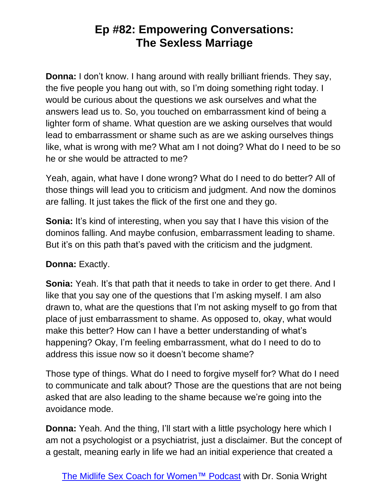**Donna:** I don't know. I hang around with really brilliant friends. They say, the five people you hang out with, so I'm doing something right today. I would be curious about the questions we ask ourselves and what the answers lead us to. So, you touched on embarrassment kind of being a lighter form of shame. What question are we asking ourselves that would lead to embarrassment or shame such as are we asking ourselves things like, what is wrong with me? What am I not doing? What do I need to be so he or she would be attracted to me?

Yeah, again, what have I done wrong? What do I need to do better? All of those things will lead you to criticism and judgment. And now the dominos are falling. It just takes the flick of the first one and they go.

**Sonia:** It's kind of interesting, when you say that I have this vision of the dominos falling. And maybe confusion, embarrassment leading to shame. But it's on this path that's paved with the criticism and the judgment.

#### **Donna:** Exactly.

**Sonia:** Yeah. It's that path that it needs to take in order to get there. And I like that you say one of the questions that I'm asking myself. I am also drawn to, what are the questions that I'm not asking myself to go from that place of just embarrassment to shame. As opposed to, okay, what would make this better? How can I have a better understanding of what's happening? Okay, I'm feeling embarrassment, what do I need to do to address this issue now so it doesn't become shame?

Those type of things. What do I need to forgive myself for? What do I need to communicate and talk about? Those are the questions that are not being asked that are also leading to the shame because we're going into the avoidance mode.

**Donna:** Yeah. And the thing, I'll start with a little psychology here which I am not a psychologist or a psychiatrist, just a disclaimer. But the concept of a gestalt, meaning early in life we had an initial experience that created a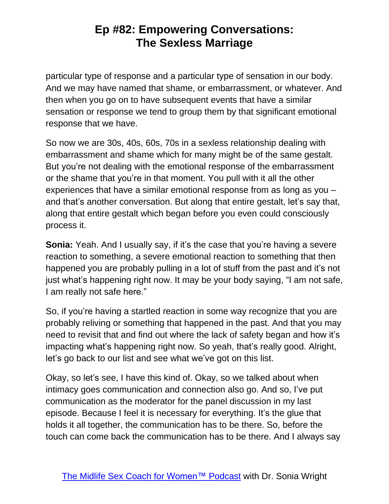particular type of response and a particular type of sensation in our body. And we may have named that shame, or embarrassment, or whatever. And then when you go on to have subsequent events that have a similar sensation or response we tend to group them by that significant emotional response that we have.

So now we are 30s, 40s, 60s, 70s in a sexless relationship dealing with embarrassment and shame which for many might be of the same gestalt. But you're not dealing with the emotional response of the embarrassment or the shame that you're in that moment. You pull with it all the other experiences that have a similar emotional response from as long as you – and that's another conversation. But along that entire gestalt, let's say that, along that entire gestalt which began before you even could consciously process it.

**Sonia:** Yeah. And I usually say, if it's the case that you're having a severe reaction to something, a severe emotional reaction to something that then happened you are probably pulling in a lot of stuff from the past and it's not just what's happening right now. It may be your body saying, "I am not safe, I am really not safe here."

So, if you're having a startled reaction in some way recognize that you are probably reliving or something that happened in the past. And that you may need to revisit that and find out where the lack of safety began and how it's impacting what's happening right now. So yeah, that's really good. Alright, let's go back to our list and see what we've got on this list.

Okay, so let's see, I have this kind of. Okay, so we talked about when intimacy goes communication and connection also go. And so, I've put communication as the moderator for the panel discussion in my last episode. Because I feel it is necessary for everything. It's the glue that holds it all together, the communication has to be there. So, before the touch can come back the communication has to be there. And I always say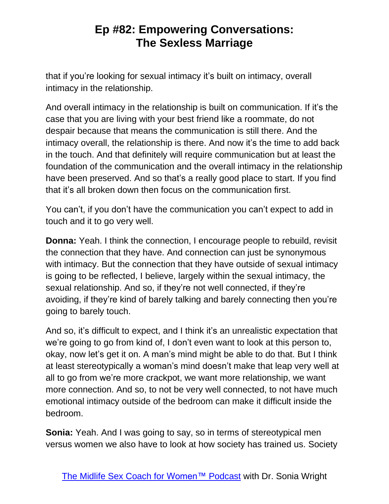that if you're looking for sexual intimacy it's built on intimacy, overall intimacy in the relationship.

And overall intimacy in the relationship is built on communication. If it's the case that you are living with your best friend like a roommate, do not despair because that means the communication is still there. And the intimacy overall, the relationship is there. And now it's the time to add back in the touch. And that definitely will require communication but at least the foundation of the communication and the overall intimacy in the relationship have been preserved. And so that's a really good place to start. If you find that it's all broken down then focus on the communication first.

You can't, if you don't have the communication you can't expect to add in touch and it to go very well.

**Donna:** Yeah. I think the connection, I encourage people to rebuild, revisit the connection that they have. And connection can just be synonymous with intimacy. But the connection that they have outside of sexual intimacy is going to be reflected, I believe, largely within the sexual intimacy, the sexual relationship. And so, if they're not well connected, if they're avoiding, if they're kind of barely talking and barely connecting then you're going to barely touch.

And so, it's difficult to expect, and I think it's an unrealistic expectation that we're going to go from kind of, I don't even want to look at this person to, okay, now let's get it on. A man's mind might be able to do that. But I think at least stereotypically a woman's mind doesn't make that leap very well at all to go from we're more crackpot, we want more relationship, we want more connection. And so, to not be very well connected, to not have much emotional intimacy outside of the bedroom can make it difficult inside the bedroom.

**Sonia:** Yeah. And I was going to say, so in terms of stereotypical men versus women we also have to look at how society has trained us. Society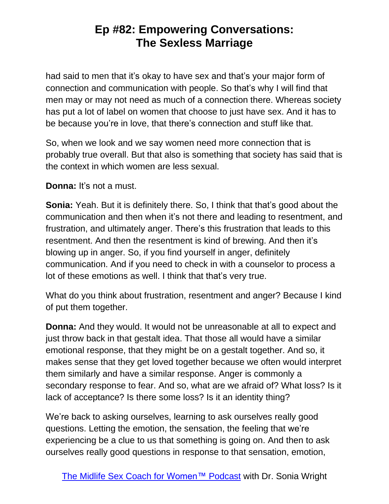had said to men that it's okay to have sex and that's your major form of connection and communication with people. So that's why I will find that men may or may not need as much of a connection there. Whereas society has put a lot of label on women that choose to just have sex. And it has to be because you're in love, that there's connection and stuff like that.

So, when we look and we say women need more connection that is probably true overall. But that also is something that society has said that is the context in which women are less sexual.

**Donna:** It's not a must.

**Sonia:** Yeah. But it is definitely there. So, I think that that's good about the communication and then when it's not there and leading to resentment, and frustration, and ultimately anger. There's this frustration that leads to this resentment. And then the resentment is kind of brewing. And then it's blowing up in anger. So, if you find yourself in anger, definitely communication. And if you need to check in with a counselor to process a lot of these emotions as well. I think that that's very true.

What do you think about frustration, resentment and anger? Because I kind of put them together.

**Donna:** And they would. It would not be unreasonable at all to expect and just throw back in that gestalt idea. That those all would have a similar emotional response, that they might be on a gestalt together. And so, it makes sense that they get loved together because we often would interpret them similarly and have a similar response. Anger is commonly a secondary response to fear. And so, what are we afraid of? What loss? Is it lack of acceptance? Is there some loss? Is it an identity thing?

We're back to asking ourselves, learning to ask ourselves really good questions. Letting the emotion, the sensation, the feeling that we're experiencing be a clue to us that something is going on. And then to ask ourselves really good questions in response to that sensation, emotion,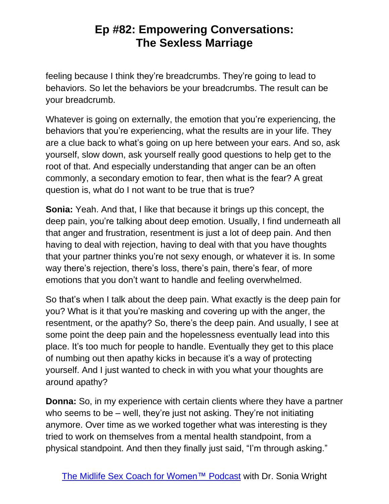feeling because I think they're breadcrumbs. They're going to lead to behaviors. So let the behaviors be your breadcrumbs. The result can be your breadcrumb.

Whatever is going on externally, the emotion that you're experiencing, the behaviors that you're experiencing, what the results are in your life. They are a clue back to what's going on up here between your ears. And so, ask yourself, slow down, ask yourself really good questions to help get to the root of that. And especially understanding that anger can be an often commonly, a secondary emotion to fear, then what is the fear? A great question is, what do I not want to be true that is true?

**Sonia:** Yeah. And that, I like that because it brings up this concept, the deep pain, you're talking about deep emotion. Usually, I find underneath all that anger and frustration, resentment is just a lot of deep pain. And then having to deal with rejection, having to deal with that you have thoughts that your partner thinks you're not sexy enough, or whatever it is. In some way there's rejection, there's loss, there's pain, there's fear, of more emotions that you don't want to handle and feeling overwhelmed.

So that's when I talk about the deep pain. What exactly is the deep pain for you? What is it that you're masking and covering up with the anger, the resentment, or the apathy? So, there's the deep pain. And usually, I see at some point the deep pain and the hopelessness eventually lead into this place. It's too much for people to handle. Eventually they get to this place of numbing out then apathy kicks in because it's a way of protecting yourself. And I just wanted to check in with you what your thoughts are around apathy?

**Donna:** So, in my experience with certain clients where they have a partner who seems to be – well, they're just not asking. They're not initiating anymore. Over time as we worked together what was interesting is they tried to work on themselves from a mental health standpoint, from a physical standpoint. And then they finally just said, "I'm through asking."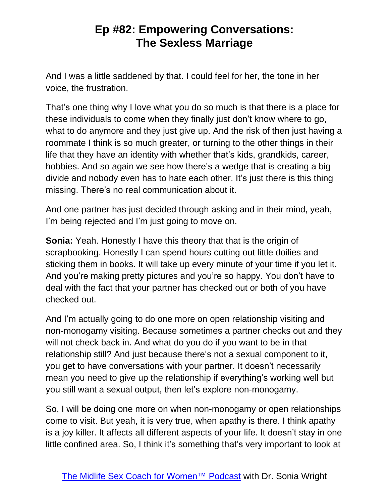And I was a little saddened by that. I could feel for her, the tone in her voice, the frustration.

That's one thing why I love what you do so much is that there is a place for these individuals to come when they finally just don't know where to go, what to do anymore and they just give up. And the risk of then just having a roommate I think is so much greater, or turning to the other things in their life that they have an identity with whether that's kids, grandkids, career, hobbies. And so again we see how there's a wedge that is creating a big divide and nobody even has to hate each other. It's just there is this thing missing. There's no real communication about it.

And one partner has just decided through asking and in their mind, yeah, I'm being rejected and I'm just going to move on.

**Sonia:** Yeah. Honestly I have this theory that that is the origin of scrapbooking. Honestly I can spend hours cutting out little doilies and sticking them in books. It will take up every minute of your time if you let it. And you're making pretty pictures and you're so happy. You don't have to deal with the fact that your partner has checked out or both of you have checked out.

And I'm actually going to do one more on open relationship visiting and non-monogamy visiting. Because sometimes a partner checks out and they will not check back in. And what do you do if you want to be in that relationship still? And just because there's not a sexual component to it, you get to have conversations with your partner. It doesn't necessarily mean you need to give up the relationship if everything's working well but you still want a sexual output, then let's explore non-monogamy.

So, I will be doing one more on when non-monogamy or open relationships come to visit. But yeah, it is very true, when apathy is there. I think apathy is a joy killer. It affects all different aspects of your life. It doesn't stay in one little confined area. So, I think it's something that's very important to look at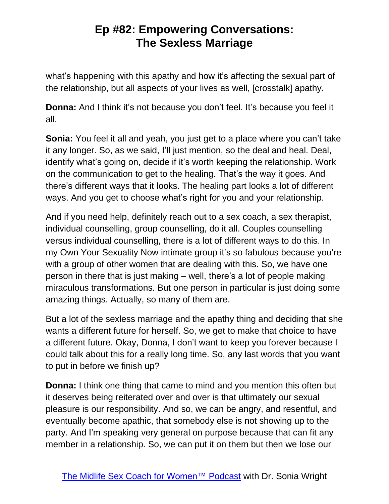what's happening with this apathy and how it's affecting the sexual part of the relationship, but all aspects of your lives as well, [crosstalk] apathy.

**Donna:** And I think it's not because you don't feel. It's because you feel it all.

**Sonia:** You feel it all and yeah, you just get to a place where you can't take it any longer. So, as we said, I'll just mention, so the deal and heal. Deal, identify what's going on, decide if it's worth keeping the relationship. Work on the communication to get to the healing. That's the way it goes. And there's different ways that it looks. The healing part looks a lot of different ways. And you get to choose what's right for you and your relationship.

And if you need help, definitely reach out to a sex coach, a sex therapist, individual counselling, group counselling, do it all. Couples counselling versus individual counselling, there is a lot of different ways to do this. In my Own Your Sexuality Now intimate group it's so fabulous because you're with a group of other women that are dealing with this. So, we have one person in there that is just making – well, there's a lot of people making miraculous transformations. But one person in particular is just doing some amazing things. Actually, so many of them are.

But a lot of the sexless marriage and the apathy thing and deciding that she wants a different future for herself. So, we get to make that choice to have a different future. Okay, Donna, I don't want to keep you forever because I could talk about this for a really long time. So, any last words that you want to put in before we finish up?

**Donna:** I think one thing that came to mind and you mention this often but it deserves being reiterated over and over is that ultimately our sexual pleasure is our responsibility. And so, we can be angry, and resentful, and eventually become apathic, that somebody else is not showing up to the party. And I'm speaking very general on purpose because that can fit any member in a relationship. So, we can put it on them but then we lose our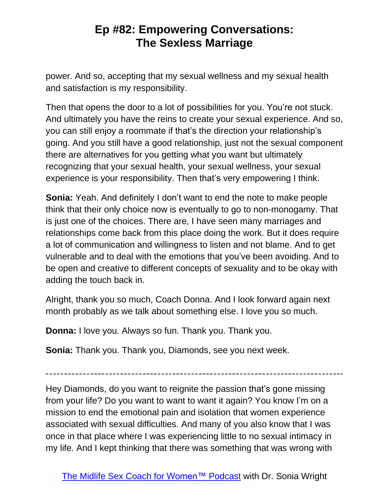power. And so, accepting that my sexual wellness and my sexual health and satisfaction is my responsibility.

Then that opens the door to a lot of possibilities for you. You're not stuck. And ultimately you have the reins to create your sexual experience. And so, you can still enjoy a roommate if that's the direction your relationship's going. And you still have a good relationship, just not the sexual component there are alternatives for you getting what you want but ultimately recognizing that your sexual health, your sexual wellness, your sexual experience is your responsibility. Then that's very empowering I think.

**Sonia:** Yeah. And definitely I don't want to end the note to make people think that their only choice now is eventually to go to non-monogamy. That is just one of the choices. There are, I have seen many marriages and relationships come back from this place doing the work. But it does require a lot of communication and willingness to listen and not blame. And to get vulnerable and to deal with the emotions that you've been avoiding. And to be open and creative to different concepts of sexuality and to be okay with adding the touch back in.

Alright, thank you so much, Coach Donna. And I look forward again next month probably as we talk about something else. I love you so much.

**Donna:** I love you. Always so fun. Thank you. Thank you.

**Sonia:** Thank you. Thank you, Diamonds, see you next week.

Hey Diamonds, do you want to reignite the passion that's gone missing from your life? Do you want to want to want it again? You know I'm on a mission to end the emotional pain and isolation that women experience associated with sexual difficulties. And many of you also know that I was once in that place where I was experiencing little to no sexual intimacy in my life. And I kept thinking that there was something that was wrong with